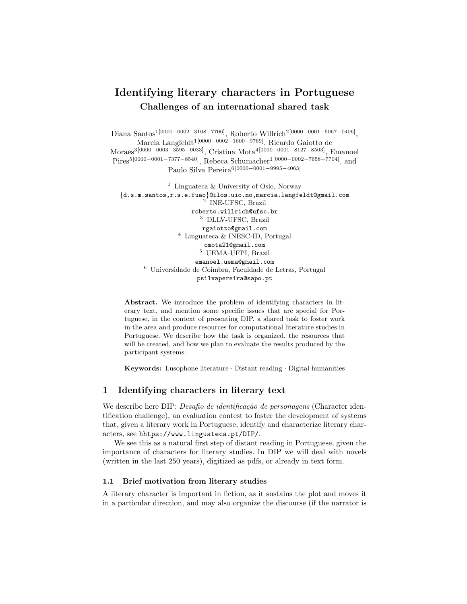# Identifying literary characters in Portuguese Challenges of an international shared task

Diana Santos<sup>1[0000–0002–3108–7706]</sup>, Roberto Willrich<sup>2[0000–0001–5067–0406]</sup>, Marcia Langfeldt1[0000−0002−1600−9769], Ricardo Gaiotto de Moraes3[0000−0003−3595−0033], Cristina Mota4[0000−0001−8127−8503], Emanoel Pires5[0000−0001−7377−8540], Rebeca Schumacher1[0000−0002−7658−7704], and Paulo Silva Pereira6[0000−0001−9995−4063]

<sup>1</sup> Linguateca & University of Oslo, Norway {d.s.m.santos,r.s.e.fuao}@ilos.uio.no,marcia.langfeldt@gmail.com 2 INE-UFSC, Brazil roberto.willrich@ufsc.br <sup>3</sup> DLLV-UFSC, Brazil rgaiotto@gmail.com <sup>4</sup> Linguateca & INESC-ID, Portugal cmota21@gmail.com  $^{\rm 5}$  UEMA-UFPI, Brazil emanoel.uema@gmail.com <sup>6</sup> Universidade de Coimbra, Faculdade de Letras, Portugal psilvapereira@sapo.pt

Abstract. We introduce the problem of identifying characters in literary text, and mention some specific issues that are special for Portuguese, in the context of presenting DIP, a shared task to foster work in the area and produce resources for computational literature studies in Portuguese. We describe how the task is organized, the resources that will be created, and how we plan to evaluate the results produced by the participant systems.

Keywords: Lusophone literature · Distant reading · Digital humanities

#### 1 Identifying characters in literary text

We describe here DIP: *Desafio de identificação de personagens* (Character identification challenge), an evaluation contest to foster the development of systems that, given a literary work in Portuguese, identify and characterize literary characters, see hhtps://www.linguateca.pt/DIP/.

We see this as a natural first step of distant reading in Portuguese, given the importance of characters for literary studies. In DIP we will deal with novels (written in the last 250 years), digitized as pdfs, or already in text form.

#### 1.1 Brief motivation from literary studies

A literary character is important in fiction, as it sustains the plot and moves it in a particular direction, and may also organize the discourse (if the narrator is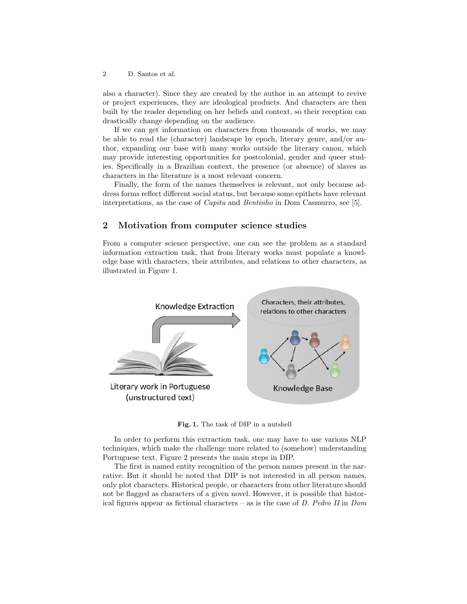2 D. Santos et al.

also a character). Since they are created by the author in an attempt to revive or project experiences, they are ideological products. And characters are then built by the reader depending on her beliefs and context, so their reception can drastically change depending on the audience.

If we can get information on characters from thousands of works, we may be able to read the (character) landscape by epoch, literary genre, and/or author, expanding our base with many works outside the literary canon, which may provide interesting opportunities for postcolonial, gender and queer studies. Specifically in a Brazilian context, the presence (or absence) of slaves as characters in the literature is a most relevant concern.

Finally, the form of the names themselves is relevant, not only because address forms reflect different social status, but because some epithets have relevant interpretations, as the case of Capitu and Bentinho in Dom Casmurro, see [5].

### 2 Motivation from computer science studies

From a computer science perspective, one can see the problem as a standard information extraction task, that from literary works must populate a knowledge base with characters, their attributes, and relations to other characters, as illustrated in Figure 1.



Fig. 1. The task of DIP in a nutshell

In order to perform this extraction task, one may have to use various NLP techniques, which make the challenge more related to (somehow) understanding Portuguese text. Figure 2 presents the main steps in DIP.

The first is named entity recognition of the person names present in the narrative. But it should be noted that DIP is not interested in all person names, only plot characters. Historical people, or characters from other literature should not be flagged as characters of a given novel. However, it is possible that historical figures appear as fictional characters – as is the case of  $D$ . Pedro II in Dom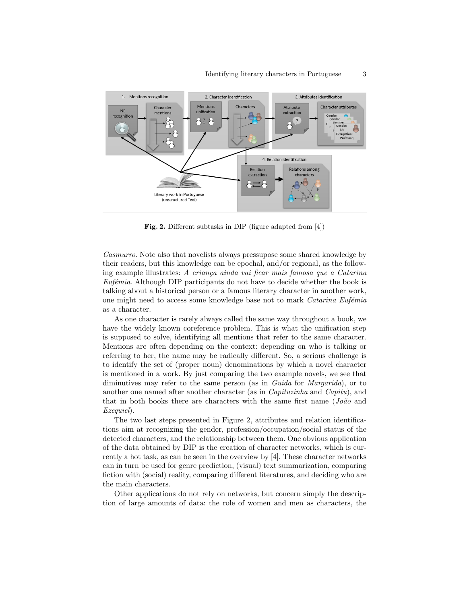

Fig. 2. Different subtasks in DIP (figure adapted from [4])

Casmurro. Note also that novelists always pressupose some shared knowledge by their readers, but this knowledge can be epochal, and/or regional, as the following example illustrates: A criança ainda vai ficar mais famosa que a Catarina  $Eufémia.$  Although DIP participants do not have to decide whether the book is talking about a historical person or a famous literary character in another work, one might need to access some knowledge base not to mark *Catarina Eufémia* as a character.

As one character is rarely always called the same way throughout a book, we have the widely known coreference problem. This is what the unification step is supposed to solve, identifying all mentions that refer to the same character. Mentions are often depending on the context: depending on who is talking or referring to her, the name may be radically different. So, a serious challenge is to identify the set of (proper noun) denominations by which a novel character is mentioned in a work. By just comparing the two example novels, we see that diminutives may refer to the same person (as in Guida for Margarida), or to another one named after another character (as in Capituzinha and Capitu), and that in both books there are characters with the same first name  $(Jo\tilde{a}o$  and Ezequiel).

The two last steps presented in Figure 2, attributes and relation identifications aim at recognizing the gender, profession/occupation/social status of the detected characters, and the relationship between them. One obvious application of the data obtained by DIP is the creation of character networks, which is currently a hot task, as can be seen in the overview by [4]. These character networks can in turn be used for genre prediction, (visual) text summarization, comparing fiction with (social) reality, comparing different literatures, and deciding who are the main characters.

Other applications do not rely on networks, but concern simply the description of large amounts of data: the role of women and men as characters, the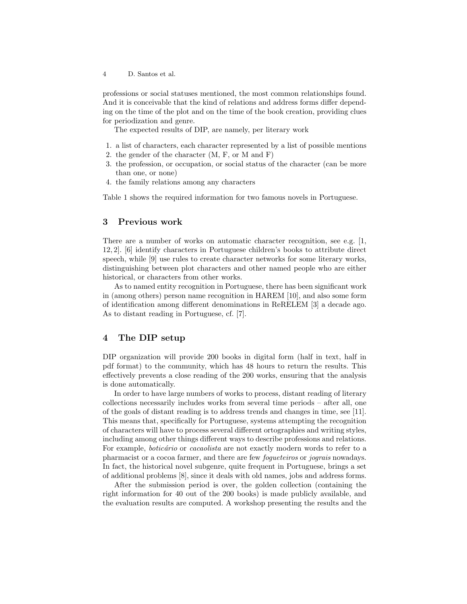4 D. Santos et al.

professions or social statuses mentioned, the most common relationships found. And it is conceivable that the kind of relations and address forms differ depending on the time of the plot and on the time of the book creation, providing clues for periodization and genre.

The expected results of DIP, are namely, per literary work

- 1. a list of characters, each character represented by a list of possible mentions
- 2. the gender of the character (M, F, or M and F)
- 3. the profession, or occupation, or social status of the character (can be more than one, or none)
- 4. the family relations among any characters

Table 1 shows the required information for two famous novels in Portuguese.

# 3 Previous work

There are a number of works on automatic character recognition, see e.g. [1, 12, 2]. [6] identify characters in Portuguese children's books to attribute direct speech, while [9] use rules to create character networks for some literary works, distinguishing between plot characters and other named people who are either historical, or characters from other works.

As to named entity recognition in Portuguese, there has been significant work in (among others) person name recognition in HAREM [10], and also some form of identification among different denominations in ReRELEM [3] a decade ago. As to distant reading in Portuguese, cf. [7].

## 4 The DIP setup

DIP organization will provide 200 books in digital form (half in text, half in pdf format) to the community, which has 48 hours to return the results. This effectively prevents a close reading of the 200 works, ensuring that the analysis is done automatically.

In order to have large numbers of works to process, distant reading of literary collections necessarily includes works from several time periods – after all, one of the goals of distant reading is to address trends and changes in time, see [11]. This means that, specifically for Portuguese, systems attempting the recognition of characters will have to process several different ortographies and writing styles, including among other things different ways to describe professions and relations. For example, *boticário* or *cacaolista* are not exactly modern words to refer to a pharmacist or a cocoa farmer, and there are few fogueteiros or jograis nowadays. In fact, the historical novel subgenre, quite frequent in Portuguese, brings a set of additional problems [8], since it deals with old names, jobs and address forms.

After the submission period is over, the golden collection (containing the right information for 40 out of the 200 books) is made publicly available, and the evaluation results are computed. A workshop presenting the results and the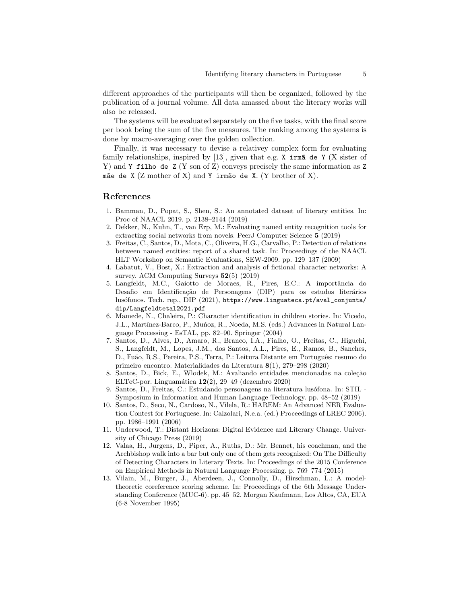different approaches of the participants will then be organized, followed by the publication of a journal volume. All data amassed about the literary works will also be released.

The systems will be evaluated separately on the five tasks, with the final score per book being the sum of the five measures. The ranking among the systems is done by macro-averaging over the golden collection.

Finally, it was necessary to devise a relativey complex form for evaluating family relationships, inspired by [13], given that e.g. X irm $\tilde{a}$  de Y (X sister of Y) and Y filho de Z (Y son of Z) conveys precisely the same information as Z mãe de X (Z mother of X) and Y irmão de X. (Y brother of X).

## References

- 1. Bamman, D., Popat, S., Shen, S.: An annotated dataset of literary entities. In: Proc of NAACL 2019. p. 2138–2144 (2019)
- 2. Dekker, N., Kuhn, T., van Erp, M.: Evaluating named entity recognition tools for extracting social networks from novels. PeerJ Computer Science 5 (2019)
- 3. Freitas, C., Santos, D., Mota, C., Oliveira, H.G., Carvalho, P.: Detection of relations between named entities: report of a shared task. In: Proceedings of the NAACL HLT Workshop on Semantic Evaluations, SEW-2009. pp. 129–137 (2009)
- 4. Labatut, V., Bost, X.: Extraction and analysis of fictional character networks: A survey. ACM Computing Surveys 52(5) (2019)
- 5. Langfeldt, M.C., Gaiotto de Moraes, R., Pires, E.C.: A importância do Desafio em Identificação de Personagens (DIP) para os estudos literários lusófonos. Tech. rep., DIP (2021), https://www.linguateca.pt/aval\_conjunta/ dip/Langfeldtetal2021.pdf
- 6. Mamede, N., Chaleira, P.: Character identification in children stories. In: Vicedo, J.L., Martínez-Barco, P., Munoz, R., Noeda, M.S. (eds.) Advances in Natural Language Processing - EsTAL, pp. 82–90. Springer (2004)
- 7. Santos, D., Alves, D., Amaro, R., Branco, I.A., Fialho, O., Freitas, C., Higuchi, S., Langfeldt, M., Lopes, J.M., dos Santos, A.L., Pires, E., Ramos, B., Sanches, D., Fuão, R.S., Pereira, P.S., Terra, P.: Leitura Distante em Português: resumo do primeiro encontro. Materialidades da Literatura 8(1), 279–298 (2020)
- 8. Santos, D., Bick, E., Wlodek, M.: Avaliando entidades mencionadas na coleção ELTeC-por. Linguamática  $12(2)$ , 29–49 (dezembro 2020)
- 9. Santos, D., Freitas, C.: Estudando personagens na literatura lusófona. In: STIL -Symposium in Information and Human Language Technology. pp. 48–52 (2019)
- 10. Santos, D., Seco, N., Cardoso, N., Vilela, R.: HAREM: An Advanced NER Evaluation Contest for Portuguese. In: Calzolari, N.e.a. (ed.) Proceedings of LREC 2006). pp. 1986–1991 (2006)
- 11. Underwood, T.: Distant Horizons: Digital Evidence and Literary Change. University of Chicago Press (2019)
- 12. Valaa, H., Jurgens, D., Piper, A., Ruths, D.: Mr. Bennet, his coachman, and the Archbishop walk into a bar but only one of them gets recognized: On The Difficulty of Detecting Characters in Literary Texts. In: Proceedings of the 2015 Conference on Empirical Methods in Natural Language Processing. p. 769–774 (2015)
- 13. Vilain, M., Burger, J., Aberdeen, J., Connolly, D., Hirschman, L.: A modeltheoretic coreference scoring scheme. In: Proceedings of the 6th Message Understanding Conference (MUC-6). pp. 45–52. Morgan Kaufmann, Los Altos, CA, EUA (6-8 November 1995)